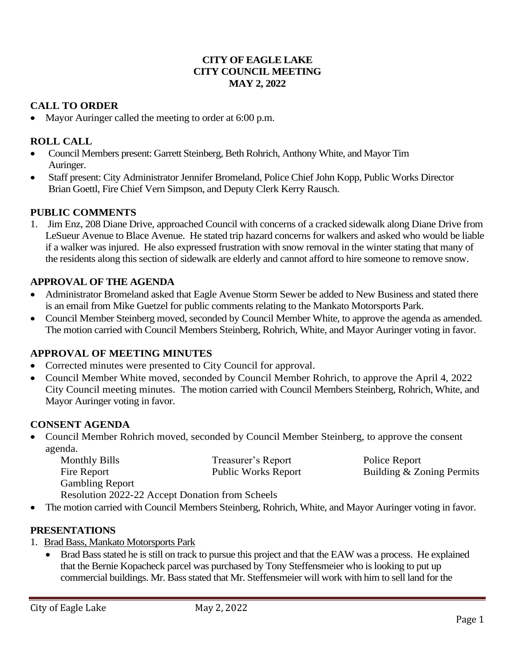### **CITY OF EAGLE LAKE CITY COUNCIL MEETING MAY 2, 2022**

## **CALL TO ORDER**

• Mayor Auringer called the meeting to order at 6:00 p.m.

## **ROLL CALL**

- Council Members present: Garrett Steinberg, Beth Rohrich, Anthony White, and Mayor Tim Auringer.
- Staff present: City Administrator Jennifer Bromeland, Police Chief John Kopp, Public Works Director Brian Goettl, Fire Chief Vern Simpson, and Deputy Clerk Kerry Rausch.

### **PUBLIC COMMENTS**

1. Jim Enz, 208 Diane Drive, approached Council with concerns of a cracked sidewalk along Diane Drive from LeSueur Avenue to Blace Avenue. He stated trip hazard concerns for walkers and asked who would be liable if a walker was injured. He also expressed frustration with snow removal in the winter stating that many of the residents along this section of sidewalk are elderly and cannot afford to hire someone to remove snow.

### **APPROVAL OF THE AGENDA**

- Administrator Bromeland asked that Eagle Avenue Storm Sewer be added to New Business and stated there is an email from Mike Guetzel for public comments relating to the Mankato Motorsports Park.
- Council Member Steinberg moved, seconded by Council Member White, to approve the agenda as amended. The motion carried with Council Members Steinberg, Rohrich, White, and Mayor Auringer voting in favor.

#### **APPROVAL OF MEETING MINUTES**

- Corrected minutes were presented to City Council for approval.
- Council Member White moved, seconded by Council Member Rohrich, to approve the April 4, 2022 City Council meeting minutes. The motion carried with Council Members Steinberg, Rohrich, White, and Mayor Auringer voting in favor.

## **CONSENT AGENDA**

• Council Member Rohrich moved, seconded by Council Member Steinberg, to approve the consent agenda.

| <b>Monthly Bills</b>                            | Treasurer's Report         | Police Report             |
|-------------------------------------------------|----------------------------|---------------------------|
| Fire Report                                     | <b>Public Works Report</b> | Building & Zoning Permits |
| <b>Gambling Report</b>                          |                            |                           |
| Resolution 2022-22 Accept Donation from Scheels |                            |                           |

• The motion carried with Council Members Steinberg, Rohrich, White, and Mayor Auringer voting in favor.

#### **PRESENTATIONS**

- 1. Brad Bass, Mankato Motorsports Park
	- Brad Bass stated he is still on track to pursue this project and that the EAW was a process. He explained that the Bernie Kopacheck parcel was purchased by Tony Steffensmeier who is looking to put up commercial buildings. Mr. Bass stated that Mr. Steffensmeier will work with him to sell land for the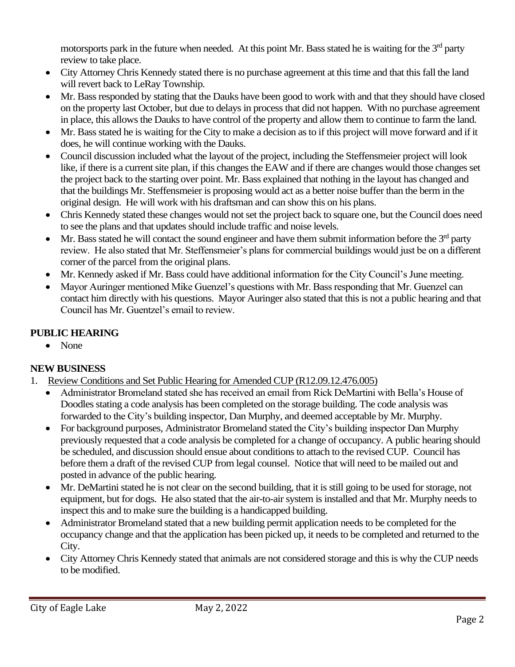motorsports park in the future when needed. At this point Mr. Bass stated he is waiting for the  $3<sup>rd</sup>$  party review to take place.

- City Attorney Chris Kennedy stated there is no purchase agreement at this time and that this fall the land will revert back to LeRay Township.
- Mr. Bass responded by stating that the Dauks have been good to work with and that they should have closed on the property last October, but due to delays in process that did not happen. With no purchase agreement in place, this allows the Dauks to have control of the property and allow them to continue to farm the land.
- Mr. Bass stated he is waiting for the City to make a decision as to if this project will move forward and if it does, he will continue working with the Dauks.
- Council discussion included what the layout of the project, including the Steffensmeier project will look like, if there is a current site plan, if this changes the EAW and if there are changes would those changes set the project back to the starting over point. Mr. Bass explained that nothing in the layout has changed and that the buildings Mr. Steffensmeier is proposing would act as a better noise buffer than the berm in the original design. He will work with his draftsman and can show this on his plans.
- Chris Kennedy stated these changes would not set the project back to square one, but the Council does need to see the plans and that updates should include traffic and noise levels.
- Mr. Bass stated he will contact the sound engineer and have them submit information before the  $3<sup>rd</sup>$  party review. He also stated that Mr. Steffensmeier's plans for commercial buildings would just be on a different corner of the parcel from the original plans.
- Mr. Kennedy asked if Mr. Bass could have additional information for the City Council's June meeting.
- Mayor Auringer mentioned Mike Guenzel's questions with Mr. Bass responding that Mr. Guenzel can contact him directly with his questions. Mayor Auringer also stated that this is not a public hearing and that Council has Mr. Guentzel's email to review.

# **PUBLIC HEARING**

• None

# **NEW BUSINESS**

- 1. Review Conditions and Set Public Hearing for Amended CUP (R12.09.12.476.005)
	- Administrator Bromeland stated she has received an email from Rick DeMartini with Bella's House of Doodles stating a code analysis has been completed on the storage building. The code analysis was forwarded to the City's building inspector, Dan Murphy, and deemed acceptable by Mr. Murphy.
	- For background purposes, Administrator Bromeland stated the City's building inspector Dan Murphy previously requested that a code analysis be completed for a change of occupancy. A public hearing should be scheduled, and discussion should ensue about conditions to attach to the revised CUP. Council has before them a draft of the revised CUP from legal counsel. Notice that will need to be mailed out and posted in advance of the public hearing.
	- Mr. DeMartini stated he is not clear on the second building, that it is still going to be used for storage, not equipment, but for dogs. He also stated that the air-to-air system is installed and that Mr. Murphy needs to inspect this and to make sure the building is a handicapped building.
	- Administrator Bromeland stated that a new building permit application needs to be completed for the occupancy change and that the application has been picked up, it needs to be completed and returned to the City.
	- City Attorney Chris Kennedy stated that animals are not considered storage and this is why the CUP needs to be modified.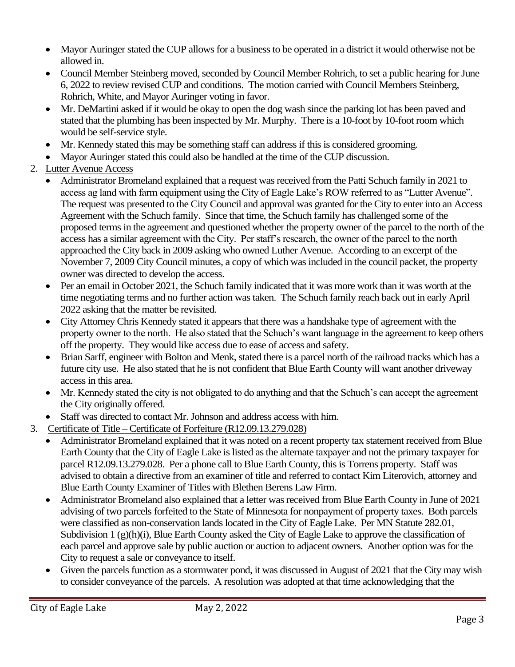- Mayor Auringer stated the CUP allows for a business to be operated in a district it would otherwise not be allowed in.
- Council Member Steinberg moved, seconded by Council Member Rohrich, to set a public hearing for June 6, 2022 to review revised CUP and conditions. The motion carried with Council Members Steinberg, Rohrich, White, and Mayor Auringer voting in favor.
- Mr. DeMartini asked if it would be okay to open the dog wash since the parking lot has been paved and stated that the plumbing has been inspected by Mr. Murphy. There is a 10-foot by 10-foot room which would be self-service style.
- Mr. Kennedy stated this may be something staff can address if this is considered grooming.
- Mayor Auringer stated this could also be handled at the time of the CUP discussion.
- 2. Lutter Avenue Access
	- Administrator Bromeland explained that a request was received from the Patti Schuch family in 2021 to access ag land with farm equipment using the City of Eagle Lake's ROW referred to as "Lutter Avenue". The request was presented to the City Council and approval was granted for the City to enter into an Access Agreement with the Schuch family. Since that time, the Schuch family has challenged some of the proposed terms in the agreement and questioned whether the property owner of the parcel to the north of the access has a similar agreement with the City. Per staff's research, the owner of the parcel to the north approached the City back in 2009 asking who owned Luther Avenue. According to an excerpt of the November 7, 2009 City Council minutes, a copy of which was included in the council packet, the property owner was directed to develop the access.
	- Per an email in October 2021, the Schuch family indicated that it was more work than it was worth at the time negotiating terms and no further action was taken. The Schuch family reach back out in early April 2022 asking that the matter be revisited.
	- City Attorney Chris Kennedy stated it appears that there was a handshake type of agreement with the property owner to the north. He also stated that the Schuch's want language in the agreement to keep others off the property. They would like access due to ease of access and safety.
	- Brian Sarff, engineer with Bolton and Menk, stated there is a parcel north of the railroad tracks which has a future city use. He also stated that he is not confident that Blue Earth County will want another driveway access in this area.
	- Mr. Kennedy stated the city is not obligated to do anything and that the Schuch's can accept the agreement the City originally offered.
- Staff was directed to contact Mr. Johnson and address access with him.
- 3. Certificate of Title Certificate of Forfeiture (R12.09.13.279.028)
	- Administrator Bromeland explained that it was noted on a recent property tax statement received from Blue Earth County that the City of Eagle Lake is listed as the alternate taxpayer and not the primary taxpayer for parcel R12.09.13.279.028. Per a phone call to Blue Earth County, this is Torrens property. Staff was advised to obtain a directive from an examiner of title and referred to contact Kim Literovich, attorney and Blue Earth County Examiner of Titles with Blethen Berens Law Firm.
	- Administrator Bromeland also explained that a letter was received from Blue Earth County in June of 2021 advising of two parcels forfeited to the State of Minnesota for nonpayment of property taxes. Both parcels were classified as non-conservation lands located in the City of Eagle Lake. Per MN Statute 282.01, Subdivision 1 (g)(h)(i), Blue Earth County asked the City of Eagle Lake to approve the classification of each parcel and approve sale by public auction or auction to adjacent owners. Another option was for the City to request a sale or conveyance to itself.
	- Given the parcels function as a stormwater pond, it was discussed in August of 2021 that the City may wish to consider conveyance of the parcels. A resolution was adopted at that time acknowledging that the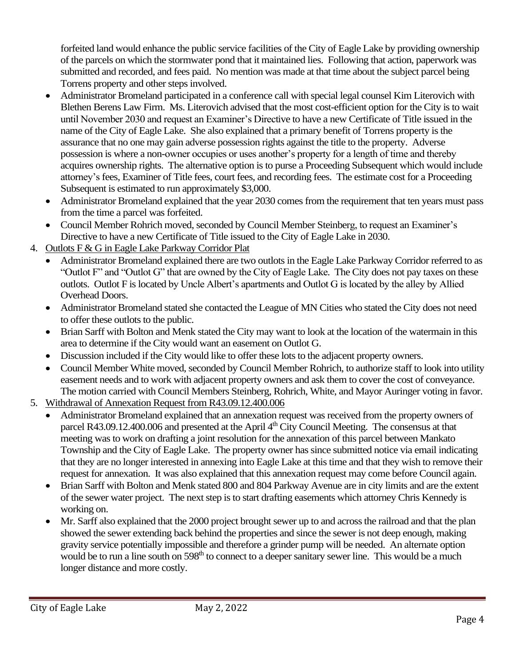forfeited land would enhance the public service facilities of the City of Eagle Lake by providing ownership of the parcels on which the stormwater pond that it maintained lies. Following that action, paperwork was submitted and recorded, and fees paid. No mention was made at that time about the subject parcel being Torrens property and other steps involved.

- Administrator Bromeland participated in a conference call with special legal counsel Kim Literovich with Blethen Berens Law Firm. Ms. Literovich advised that the most cost-efficient option for the City is to wait until November 2030 and request an Examiner's Directive to have a new Certificate of Title issued in the name of the City of Eagle Lake. She also explained that a primary benefit of Torrens property is the assurance that no one may gain adverse possession rights against the title to the property. Adverse possession is where a non-owner occupies or uses another's property for a length of time and thereby acquires ownership rights. The alternative option is to purse a Proceeding Subsequent which would include attorney's fees, Examiner of Title fees, court fees, and recording fees. The estimate cost for a Proceeding Subsequent is estimated to run approximately \$3,000.
- Administrator Bromeland explained that the year 2030 comes from the requirement that ten years must pass from the time a parcel was forfeited.
- Council Member Rohrich moved, seconded by Council Member Steinberg, to request an Examiner's Directive to have a new Certificate of Title issued to the City of Eagle Lake in 2030.
- 4. Outlots F & G in Eagle Lake Parkway Corridor Plat
	- Administrator Bromeland explained there are two outlots in the Eagle Lake Parkway Corridor referred to as "Outlot F" and "Outlot G" that are owned by the City of Eagle Lake. The City does not pay taxes on these outlots. Outlot F is located by Uncle Albert's apartments and Outlot G is located by the alley by Allied Overhead Doors.
	- Administrator Bromeland stated she contacted the League of MN Cities who stated the City does not need to offer these outlots to the public.
	- Brian Sarff with Bolton and Menk stated the City may want to look at the location of the watermain in this area to determine if the City would want an easement on Outlot G.
	- Discussion included if the City would like to offer these lots to the adjacent property owners.
	- Council Member White moved, seconded by Council Member Rohrich, to authorize staff to look into utility easement needs and to work with adjacent property owners and ask them to cover the cost of conveyance. The motion carried with Council Members Steinberg, Rohrich, White, and Mayor Auringer voting in favor.
- 5. Withdrawal of Annexation Request from R43.09.12.400.006
	- Administrator Bromeland explained that an annexation request was received from the property owners of parcel R43.09.12.400.006 and presented at the April 4<sup>th</sup> City Council Meeting. The consensus at that meeting was to work on drafting a joint resolution for the annexation of this parcel between Mankato Township and the City of Eagle Lake. The property owner has since submitted notice via email indicating that they are no longer interested in annexing into Eagle Lake at this time and that they wish to remove their request for annexation. It was also explained that this annexation request may come before Council again.
	- Brian Sarff with Bolton and Menk stated 800 and 804 Parkway Avenue are in city limits and are the extent of the sewer water project. The next step is to start drafting easements which attorney Chris Kennedy is working on.
	- Mr. Sarff also explained that the 2000 project brought sewer up to and across the railroad and that the plan showed the sewer extending back behind the properties and since the sewer is not deep enough, making gravity service potentially impossible and therefore a grinder pump will be needed. An alternate option would be to run a line south on 598<sup>th</sup> to connect to a deeper sanitary sewer line. This would be a much longer distance and more costly.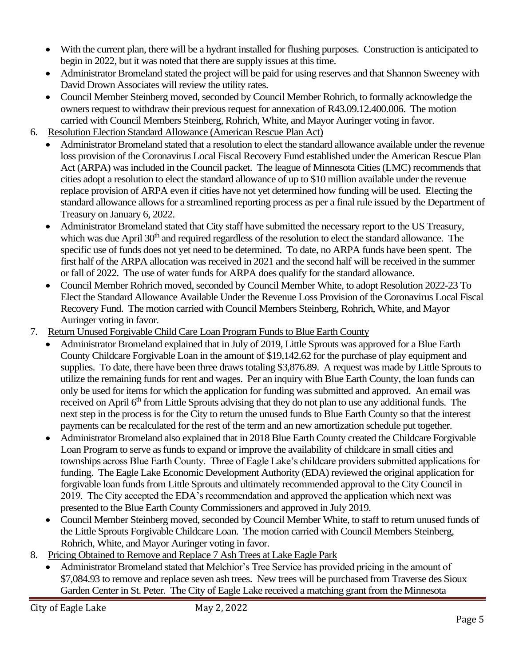- With the current plan, there will be a hydrant installed for flushing purposes. Construction is anticipated to begin in 2022, but it was noted that there are supply issues at this time.
- Administrator Bromeland stated the project will be paid for using reserves and that Shannon Sweeney with David Drown Associates will review the utility rates.
- Council Member Steinberg moved, seconded by Council Member Rohrich, to formally acknowledge the owners request to withdraw their previous request for annexation of R43.09.12.400.006. The motion carried with Council Members Steinberg, Rohrich, White, and Mayor Auringer voting in favor.
- 6. Resolution Election Standard Allowance (American Rescue Plan Act)
	- Administrator Bromeland stated that a resolution to elect the standard allowance available under the revenue loss provision of the Coronavirus Local Fiscal Recovery Fund established under the American Rescue Plan Act (ARPA) was included in the Council packet. The league of Minnesota Cities (LMC) recommends that cities adopt a resolution to elect the standard allowance of up to \$10 million available under the revenue replace provision of ARPA even if cities have not yet determined how funding will be used. Electing the standard allowance allows for a streamlined reporting process as per a final rule issued by the Department of Treasury on January 6, 2022.
	- Administrator Bromeland stated that City staff have submitted the necessary report to the US Treasury, which was due April 30<sup>th</sup> and required regardless of the resolution to elect the standard allowance. The specific use of funds does not yet need to be determined. To date, no ARPA funds have been spent. The first half of the ARPA allocation was received in 2021 and the second half will be received in the summer or fall of 2022. The use of water funds for ARPA does qualify for the standard allowance.
	- Council Member Rohrich moved, seconded by Council Member White, to adopt Resolution 2022-23 To Elect the Standard Allowance Available Under the Revenue Loss Provision of the Coronavirus Local Fiscal Recovery Fund. The motion carried with Council Members Steinberg, Rohrich, White, and Mayor Auringer voting in favor.
- 7. Return Unused Forgivable Child Care Loan Program Funds to Blue Earth County
	- Administrator Bromeland explained that in July of 2019, Little Sprouts was approved for a Blue Earth County Childcare Forgivable Loan in the amount of \$19,142.62 for the purchase of play equipment and supplies. To date, there have been three draws totaling \$3,876.89. A request was made by Little Sprouts to utilize the remaining funds for rent and wages. Per an inquiry with Blue Earth County, the loan funds can only be used for items for which the application for funding was submitted and approved. An email was received on April 6<sup>th</sup> from Little Sprouts advising that they do not plan to use any additional funds. The next step in the process is for the City to return the unused funds to Blue Earth County so that the interest payments can be recalculated for the rest of the term and an new amortization schedule put together.
	- Administrator Bromeland also explained that in 2018 Blue Earth County created the Childcare Forgivable Loan Program to serve as funds to expand or improve the availability of childcare in small cities and townships across Blue Earth County. Three of Eagle Lake's childcare providers submitted applications for funding. The Eagle Lake Economic Development Authority (EDA) reviewed the original application for forgivable loan funds from Little Sprouts and ultimately recommended approval to the City Council in 2019. The City accepted the EDA's recommendation and approved the application which next was presented to the Blue Earth County Commissioners and approved in July 2019.
	- Council Member Steinberg moved, seconded by Council Member White, to staff to return unused funds of the Little Sprouts Forgivable Childcare Loan. The motion carried with Council Members Steinberg, Rohrich, White, and Mayor Auringer voting in favor.
- 8. Pricing Obtained to Remove and Replace 7 Ash Trees at Lake Eagle Park
	- Administrator Bromeland stated that Melchior's Tree Service has provided pricing in the amount of \$7,084.93 to remove and replace seven ash trees. New trees will be purchased from Traverse des Sioux Garden Center in St. Peter. The City of Eagle Lake received a matching grant from the Minnesota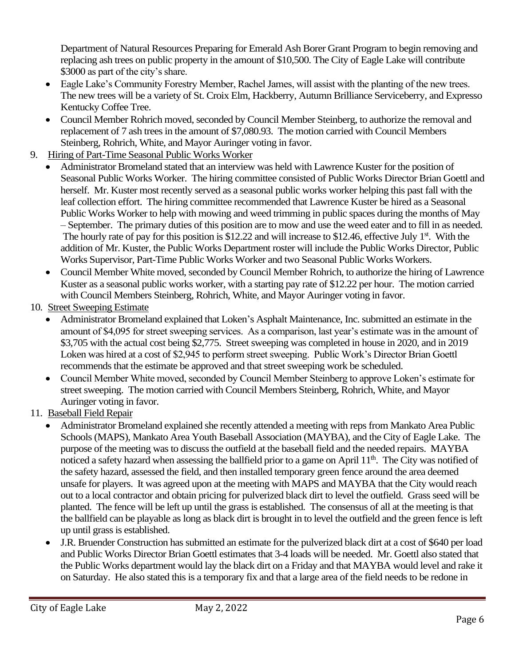Department of Natural Resources Preparing for Emerald Ash Borer Grant Program to begin removing and replacing ash trees on public property in the amount of \$10,500. The City of Eagle Lake will contribute \$3000 as part of the city's share.

- Eagle Lake's Community Forestry Member, Rachel James, will assist with the planting of the new trees. The new trees will be a variety of St. Croix Elm, Hackberry, Autumn Brilliance Serviceberry, and Expresso Kentucky Coffee Tree.
- Council Member Rohrich moved, seconded by Council Member Steinberg, to authorize the removal and replacement of 7 ash trees in the amount of \$7,080.93. The motion carried with Council Members Steinberg, Rohrich, White, and Mayor Auringer voting in favor.
- 9. Hiring of Part-Time Seasonal Public Works Worker
	- Administrator Bromeland stated that an interview was held with Lawrence Kuster for the position of Seasonal Public Works Worker. The hiring committee consisted of Public Works Director Brian Goettl and herself. Mr. Kuster most recently served as a seasonal public works worker helping this past fall with the leaf collection effort. The hiring committee recommended that Lawrence Kuster be hired as a Seasonal Public Works Worker to help with mowing and weed trimming in public spaces during the months of May – September. The primary duties of this position are to mow and use the weed eater and to fill in as needed. The hourly rate of pay for this position is \$12.22 and will increase to \$12.46, effective July  $1<sup>st</sup>$ . With the addition of Mr. Kuster, the Public Works Department roster will include the Public Works Director, Public Works Supervisor, Part-Time Public Works Worker and two Seasonal Public Works Workers.
	- Council Member White moved, seconded by Council Member Rohrich, to authorize the hiring of Lawrence Kuster as a seasonal public works worker, with a starting pay rate of \$12.22 per hour. The motion carried with Council Members Steinberg, Rohrich, White, and Mayor Auringer voting in favor.
- 10. Street Sweeping Estimate
	- Administrator Bromeland explained that Loken's Asphalt Maintenance, Inc. submitted an estimate in the amount of \$4,095 for street sweeping services. As a comparison, last year's estimate was in the amount of \$3,705 with the actual cost being \$2,775. Street sweeping was completed in house in 2020, and in 2019 Loken was hired at a cost of \$2,945 to perform street sweeping. Public Work's Director Brian Goettl recommends that the estimate be approved and that street sweeping work be scheduled.
	- Council Member White moved, seconded by Council Member Steinberg to approve Loken's estimate for street sweeping. The motion carried with Council Members Steinberg, Rohrich, White, and Mayor Auringer voting in favor.
- 11. Baseball Field Repair
	- Administrator Bromeland explained she recently attended a meeting with reps from Mankato Area Public Schools (MAPS), Mankato Area Youth Baseball Association (MAYBA), and the City of Eagle Lake. The purpose of the meeting was to discuss the outfield at the baseball field and the needed repairs. MAYBA noticed a safety hazard when assessing the ballfield prior to a game on April 11<sup>th</sup>. The City was notified of the safety hazard, assessed the field, and then installed temporary green fence around the area deemed unsafe for players. It was agreed upon at the meeting with MAPS and MAYBA that the City would reach out to a local contractor and obtain pricing for pulverized black dirt to level the outfield. Grass seed will be planted. The fence will be left up until the grass is established. The consensus of all at the meeting is that the ballfield can be playable as long as black dirt is brought in to level the outfield and the green fence is left up until grass is established.
	- J.R. Bruender Construction has submitted an estimate for the pulverized black dirt at a cost of \$640 per load and Public Works Director Brian Goettl estimates that 3-4 loads will be needed. Mr. Goettl also stated that the Public Works department would lay the black dirt on a Friday and that MAYBA would level and rake it on Saturday. He also stated this is a temporary fix and that a large area of the field needs to be redone in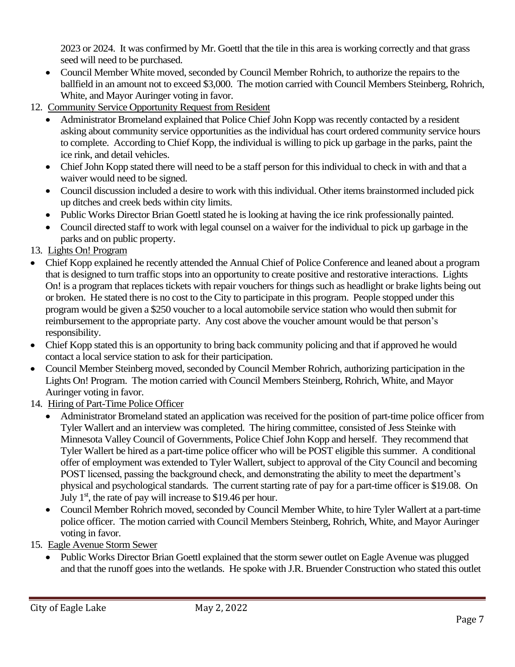2023 or 2024. It was confirmed by Mr. Goettl that the tile in this area is working correctly and that grass seed will need to be purchased.

- Council Member White moved, seconded by Council Member Rohrich, to authorize the repairs to the ballfield in an amount not to exceed \$3,000. The motion carried with Council Members Steinberg, Rohrich, White, and Mayor Auringer voting in favor.
- 12. Community Service Opportunity Request from Resident
	- Administrator Bromeland explained that Police Chief John Kopp was recently contacted by a resident asking about community service opportunities as the individual has court ordered community service hours to complete. According to Chief Kopp, the individual is willing to pick up garbage in the parks, paint the ice rink, and detail vehicles.
	- Chief John Kopp stated there will need to be a staff person for this individual to check in with and that a waiver would need to be signed.
	- Council discussion included a desire to work with this individual. Other items brainstormed included pick up ditches and creek beds within city limits.
	- Public Works Director Brian Goettl stated he is looking at having the ice rink professionally painted.
	- Council directed staff to work with legal counsel on a waiver for the individual to pick up garbage in the parks and on public property.
- 13. Lights On! Program
- Chief Kopp explained he recently attended the Annual Chief of Police Conference and leaned about a program that is designed to turn traffic stops into an opportunity to create positive and restorative interactions. Lights On! is a program that replaces tickets with repair vouchers for things such as headlight or brake lights being out or broken. He stated there is no cost to the City to participate in this program. People stopped under this program would be given a \$250 voucher to a local automobile service station who would then submit for reimbursement to the appropriate party. Any cost above the voucher amount would be that person's responsibility.
- Chief Kopp stated this is an opportunity to bring back community policing and that if approved he would contact a local service station to ask for their participation.
- Council Member Steinberg moved, seconded by Council Member Rohrich, authorizing participation in the Lights On! Program. The motion carried with Council Members Steinberg, Rohrich, White, and Mayor Auringer voting in favor.
- 14. Hiring of Part-Time Police Officer
	- Administrator Bromeland stated an application was received for the position of part-time police officer from Tyler Wallert and an interview was completed. The hiring committee, consisted of Jess Steinke with Minnesota Valley Council of Governments, Police Chief John Kopp and herself. They recommend that Tyler Wallert be hired as a part-time police officer who will be POST eligible this summer. A conditional offer of employment was extended to Tyler Wallert, subject to approval of the City Council and becoming POST licensed, passing the background check, and demonstrating the ability to meet the department's physical and psychological standards. The current starting rate of pay for a part-time officer is \$19.08. On July  $1<sup>st</sup>$ , the rate of pay will increase to \$19.46 per hour.
	- Council Member Rohrich moved, seconded by Council Member White, to hire Tyler Wallert at a part-time police officer. The motion carried with Council Members Steinberg, Rohrich, White, and Mayor Auringer voting in favor.
- 15. Eagle Avenue Storm Sewer
	- Public Works Director Brian Goettl explained that the storm sewer outlet on Eagle Avenue was plugged and that the runoff goes into the wetlands. He spoke with J.R. Bruender Construction who stated this outlet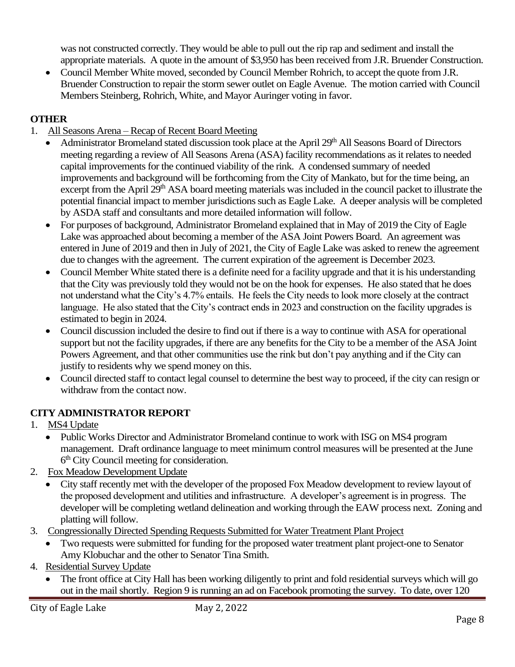was not constructed correctly. They would be able to pull out the rip rap and sediment and install the appropriate materials. A quote in the amount of \$3,950 has been received from J.R. Bruender Construction.

• Council Member White moved, seconded by Council Member Rohrich, to accept the quote from J.R. Bruender Construction to repair the storm sewer outlet on Eagle Avenue. The motion carried with Council Members Steinberg, Rohrich, White, and Mayor Auringer voting in favor.

## **OTHER**

- 1. All Seasons Arena Recap of Recent Board Meeting
	- Administrator Bromeland stated discussion took place at the April 29<sup>th</sup> All Seasons Board of Directors meeting regarding a review of All Seasons Arena (ASA) facility recommendations as it relates to needed capital improvements for the continued viability of the rink. A condensed summary of needed improvements and background will be forthcoming from the City of Mankato, but for the time being, an excerpt from the April 29<sup>th</sup> ASA board meeting materials was included in the council packet to illustrate the potential financial impact to member jurisdictions such as Eagle Lake. A deeper analysis will be completed by ASDA staff and consultants and more detailed information will follow.
	- For purposes of background, Administrator Bromeland explained that in May of 2019 the City of Eagle Lake was approached about becoming a member of the ASA Joint Powers Board. An agreement was entered in June of 2019 and then in July of 2021, the City of Eagle Lake was asked to renew the agreement due to changes with the agreement. The current expiration of the agreement is December 2023.
	- Council Member White stated there is a definite need for a facility upgrade and that it is his understanding that the City was previously told they would not be on the hook for expenses. He also stated that he does not understand what the City's 4.7% entails. He feels the City needs to look more closely at the contract language. He also stated that the City's contract ends in 2023 and construction on the facility upgrades is estimated to begin in 2024.
	- Council discussion included the desire to find out if there is a way to continue with ASA for operational support but not the facility upgrades, if there are any benefits for the City to be a member of the ASA Joint Powers Agreement, and that other communities use the rink but don't pay anything and if the City can justify to residents why we spend money on this.
	- Council directed staff to contact legal counsel to determine the best way to proceed, if the city can resign or withdraw from the contact now.

## **CITY ADMINISTRATOR REPORT**

- 1. MS4 Update
	- Public Works Director and Administrator Bromeland continue to work with ISG on MS4 program management. Draft ordinance language to meet minimum control measures will be presented at the June 6<sup>th</sup> City Council meeting for consideration.
- 2. Fox Meadow Development Update
	- City staff recently met with the developer of the proposed Fox Meadow development to review layout of the proposed development and utilities and infrastructure. A developer's agreement is in progress. The developer will be completing wetland delineation and working through the EAW process next. Zoning and platting will follow.
- 3. Congressionally Directed Spending Requests Submitted for Water Treatment Plant Project
	- Two requests were submitted for funding for the proposed water treatment plant project-one to Senator Amy Klobuchar and the other to Senator Tina Smith.
- 4. Residential Survey Update
	- The front office at City Hall has been working diligently to print and fold residential surveys which will go out in the mail shortly. Region 9 is running an ad on Facebook promoting the survey. To date, over 120